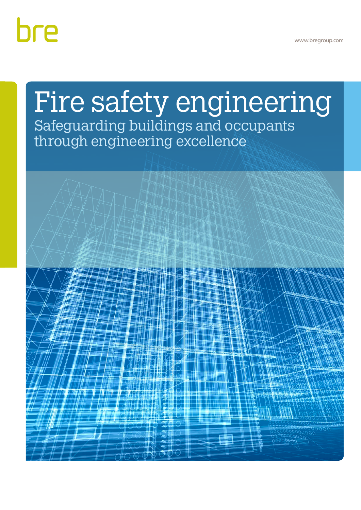www.bregroup.com

# bre

# Fire safety engineering Safeguarding buildings and occupants

through engineering excellence

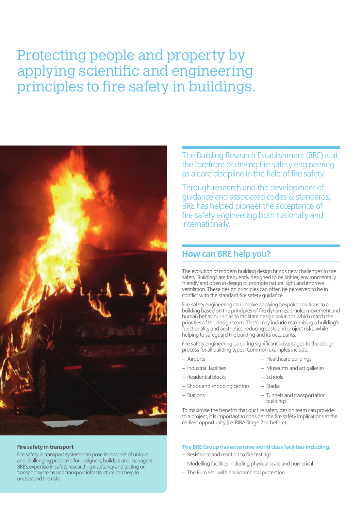# Protecting people and property by applying scientific and engineering principles to fire safety in buildings.



#### **Fire safety in transport**

Fire safety in transport systems can pose its own set of unique and challenging problems for designers, builders and managers. BRE's expertise in safety research, consultancy and testing on transport systems and transport infrastructure can help to understand the risks.

The Building Research Establishment (BRE) is at the forefront of driving fire safety engineering as a core discipline in the field of fire safety.

Through research and the development of guidance and associated codes & standards, BRE has helped pioneer the acceptance of fire safety engineering both nationally and internationally.

## **How can BRE help you?**

The evolution of modern building design brings new challenges to fire safety. Buildings are frequently designed to be lighter, environmentally friendly and open in design to promote natural light and improve ventilation. These design principles can often be perceived to be in conflict with the standard fire safety guidance.

Fire safety engineering can involve applying bespoke solutions to a building based on the principles of fire dynamics, smoke movement and human behaviour so as to facilitate design solutions which match the priorities of the design team. These may include maximising a building's functionality and aesthetics, reducing costs and project risks, while helping to safeguard the building and its occupants.

Fire safety engineering can bring significant advantages to the design process for all building types. Common examples include:

- Airports Healthcare buildings
	-
- 
- Industrial facilities Museums and art galleries
- Residential blocks Schools
- Shops and shopping centres Stadia
- 
- Stations Tunnels and transportation buildings

To maximise the benefits that our fire safety design team can provide to a project, it is important to consider the fire safety implications at the earliest opportunity (i.e. RIBA Stage 2 or before).

#### **The BRE Group has extensive world class facilities including:**

- Resistance and reaction to fire test rigs
- Modelling facilities including physical scale and numerical
- The Burn Hall with environmental protection.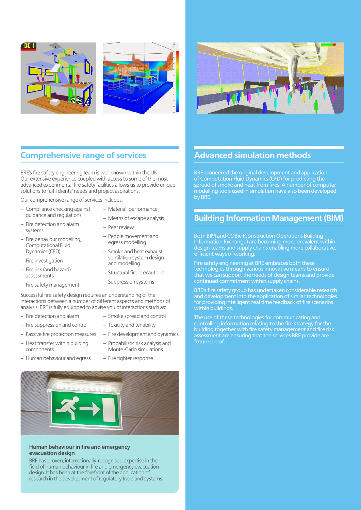



# **Comprehensive range of services**

BRE's fire safety engineering team is well known within the UK. Our extensive experience coupled with access to some of the most advanced experimental fire safety facilities allows us to provide unique solutions to fulfil clients' needs and project aspirations.

Our comprehensive range of services includes:

- Compliance checking against guidance and regulations
- Fire detection and alarm systems
- Fire behaviour modelling, Computational Fluid Dynamics (CFD)
- Fire investigation
- Fire risk (and hazard) assessments
- Fire safety management
- Material performance
- Means of escape analysis
- Peer review
- People movement and egress modelling
- Smoke and heat exhaust ventilation system design and modelling
- Structural fire precautions
- Suppression systems

Successful fire safety design requires an understanding of the interactions between a number of different aspects and methods of analysis. BRE is fully equipped to advise you of interactions such as:

- Fire detection and alarm
- Smoke spread and control – Toxicity and tenability
- Fire suppression and control – Passive fire protection measures
- Heat transfer within building components
- Human behaviour and egress
- Fire development and dynamics
- Probabilistic risk analysis and Monte-Carlo simulations
- Fire fighter response



#### **Human behaviour in fire and emergency evacuation design**

BRE has proven, internationally-recognised expertise in the field of human behaviour in fire and emergency evacuation design. It has been at the forefront of the application of research in the development of regulatory tools and systems.

# **Advanced simulation methods**

BRE pioneered the original development and application of Computation Fluid Dynamics (CFD) for predicting the spread of smoke and heat from fires. A number of computer modelling tools used in simulation have also been developed by BRE.

# **Building Information Management (BIM)**

Both BIM and COBie (Construction Operations Building Information Exchange) are becoming more prevalent within design teams and supply chains enabling more collaborative, efficient ways of working.

Fire safety engineering at BRE embraces both these technologies through various innovative means to ensure that we can support the needs of design teams and provide continued commitment within supply chains.

BRE's fire safety group has undertaken considerable research and development into the application of similar technologies for providing intelligent real time feedback of fire scenarios within buildings.

The use of these technologies for communicating and controlling information relating to the fire strategy for the building together with fire safety management and fire risk assessment are ensuring that the services BRE provide are future proof.